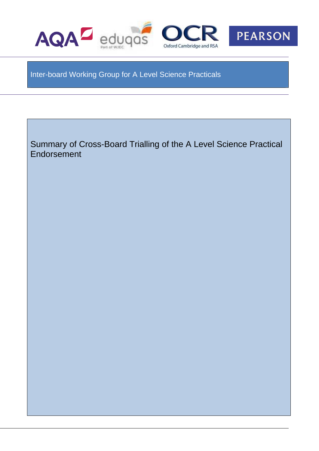

Inter-board Working Group for A Level Science Practicals

Summary of Cross-Board Trialling of the A Level Science Practical Endorsement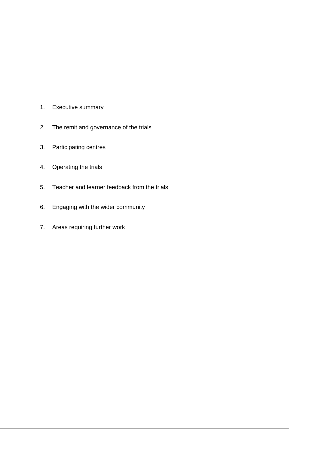- 1. Executive summary
- 2. The remit and governance of the trials
- 3. Participating centres
- 4. Operating the trials
- 5. Teacher and learner feedback from the trials
- 6. Engaging with the wider community
- 7. Areas requiring further work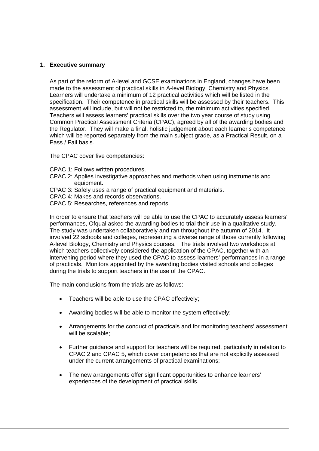#### **1. Executive summary**

As part of the reform of A-level and GCSE examinations in England, changes have been made to the assessment of practical skills in A-level Biology, Chemistry and Physics. Learners will undertake a minimum of 12 practical activities which will be listed in the specification. Their competence in practical skills will be assessed by their teachers. This assessment will include, but will not be restricted to, the minimum activities specified. Teachers will assess learners' practical skills over the two year course of study using Common Practical Assessment Criteria (CPAC), agreed by all of the awarding bodies and the Regulator. They will make a final, holistic judgement about each learner's competence which will be reported separately from the main subject grade, as a Practical Result, on a Pass / Fail basis.

The CPAC cover five competencies:

- CPAC 1: Follows written procedures.
- CPAC 2: Applies investigative approaches and methods when using instruments and equipment.
- CPAC 3: Safely uses a range of practical equipment and materials.
- CPAC 4: Makes and records observations.
- CPAC 5: Researches, references and reports.

In order to ensure that teachers will be able to use the CPAC to accurately assess learners' performances, Ofqual asked the awarding bodies to trial their use in a qualitative study. The study was undertaken collaboratively and ran throughout the autumn of 2014. It involved 22 schools and colleges, representing a diverse range of those currently following A-level Biology, Chemistry and Physics courses. The trials involved two workshops at which teachers collectively considered the application of the CPAC, together with an intervening period where they used the CPAC to assess learners' performances in a range of practicals. Monitors appointed by the awarding bodies visited schools and colleges during the trials to support teachers in the use of the CPAC.

The main conclusions from the trials are as follows:

- Teachers will be able to use the CPAC effectively;
- Awarding bodies will be able to monitor the system effectively;
- Arrangements for the conduct of practicals and for monitoring teachers' assessment will be scalable:
- Further guidance and support for teachers will be required, particularly in relation to CPAC 2 and CPAC 5, which cover competencies that are not explicitly assessed under the current arrangements of practical examinations;
- The new arrangements offer significant opportunities to enhance learners' experiences of the development of practical skills.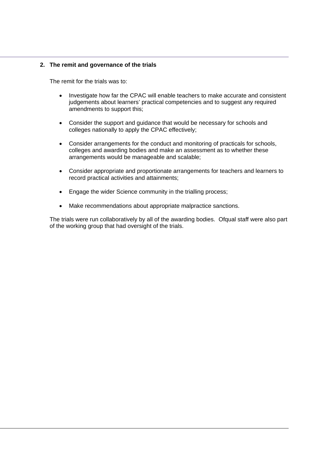### **2. The remit and governance of the trials**

The remit for the trials was to:

- Investigate how far the CPAC will enable teachers to make accurate and consistent judgements about learners' practical competencies and to suggest any required amendments to support this;
- Consider the support and guidance that would be necessary for schools and colleges nationally to apply the CPAC effectively;
- Consider arrangements for the conduct and monitoring of practicals for schools, colleges and awarding bodies and make an assessment as to whether these arrangements would be manageable and scalable;
- Consider appropriate and proportionate arrangements for teachers and learners to record practical activities and attainments;
- Engage the wider Science community in the trialling process;
- Make recommendations about appropriate malpractice sanctions.

The trials were run collaboratively by all of the awarding bodies. Ofqual staff were also part of the working group that had oversight of the trials.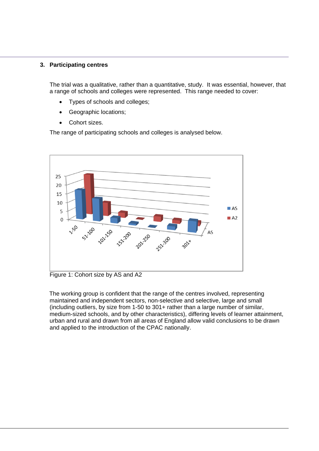# **3. Participating centres**

The trial was a qualitative, rather than a quantitative, study. It was essential, however, that a range of schools and colleges were represented. This range needed to cover:

- Types of schools and colleges;
- Geographic locations;
- Cohort sizes.

The range of participating schools and colleges is analysed below.



Figure 1: Cohort size by AS and A2

The working group is confident that the range of the centres involved, representing maintained and independent sectors, non-selective and selective, large and small (including outliers, by size from 1-50 to 301+ rather than a large number of similar, medium-sized schools, and by other characteristics), differing levels of learner attainment, urban and rural and drawn from all areas of England allow valid conclusions to be drawn and applied to the introduction of the CPAC nationally.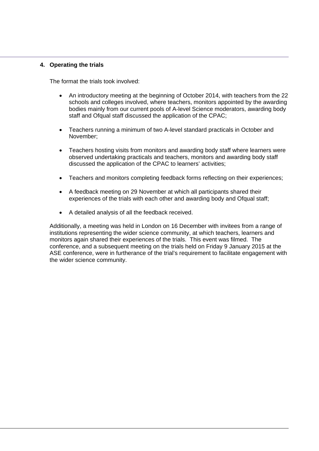# **4. Operating the trials**

The format the trials took involved:

- An introductory meeting at the beginning of October 2014, with teachers from the 22 schools and colleges involved, where teachers, monitors appointed by the awarding bodies mainly from our current pools of A-level Science moderators, awarding body staff and Ofqual staff discussed the application of the CPAC:
- Teachers running a minimum of two A-level standard practicals in October and November;
- Teachers hosting visits from monitors and awarding body staff where learners were observed undertaking practicals and teachers, monitors and awarding body staff discussed the application of the CPAC to learners' activities;
- Teachers and monitors completing feedback forms reflecting on their experiences;
- A feedback meeting on 29 November at which all participants shared their experiences of the trials with each other and awarding body and Ofqual staff;
- A detailed analysis of all the feedback received.

Additionally, a meeting was held in London on 16 December with invitees from a range of institutions representing the wider science community, at which teachers, learners and monitors again shared their experiences of the trials. This event was filmed. The conference, and a subsequent meeting on the trials held on Friday 9 January 2015 at the ASE conference, were in furtherance of the trial's requirement to facilitate engagement with the wider science community.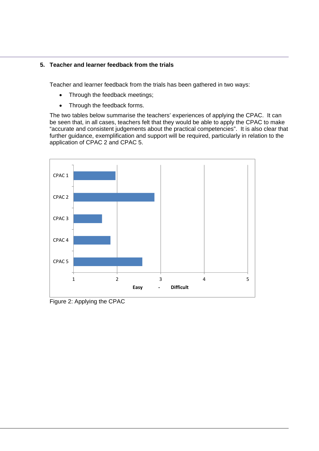# **5. Teacher and learner feedback from the trials**

Teacher and learner feedback from the trials has been gathered in two ways:

- Through the feedback meetings;
- Through the feedback forms.

The two tables below summarise the teachers' experiences of applying the CPAC. It can be seen that, in all cases, teachers felt that they would be able to apply the CPAC to make "accurate and consistent judgements about the practical competencies". It is also clear that further guidance, exemplification and support will be required, particularly in relation to the application of CPAC 2 and CPAC 5.



Figure 2: Applying the CPAC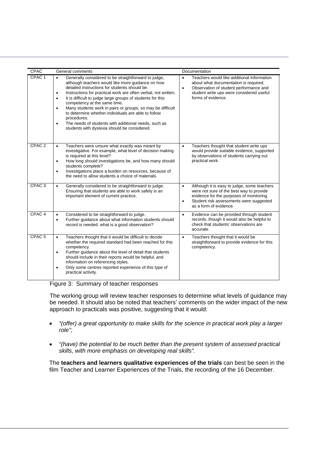| CPAC              | General comments<br>Documentation                                                                                                                                                                                                                                                                                                                                                                                                                                                                                                                                                                                                       |                                                                                                                                                                                                                                    |  |  |  |
|-------------------|-----------------------------------------------------------------------------------------------------------------------------------------------------------------------------------------------------------------------------------------------------------------------------------------------------------------------------------------------------------------------------------------------------------------------------------------------------------------------------------------------------------------------------------------------------------------------------------------------------------------------------------------|------------------------------------------------------------------------------------------------------------------------------------------------------------------------------------------------------------------------------------|--|--|--|
| CPAC <sub>1</sub> | Generally considered to be straightforward to judge,<br>$\bullet$<br>although teachers would like more guidance on how<br>detailed instructions for students should be.<br>Instructions for practical work are often verbal, not written.<br>$\bullet$<br>It is difficult to judge large groups of students for this<br>$\bullet$<br>competency at the same time.<br>Many students work in pairs or groups, so may be difficult<br>$\bullet$<br>to determine whether individuals are able to follow<br>procedures.<br>The needs of students with additional needs, such as<br>$\bullet$<br>students with dyslexia should be considered. | Teachers would like additional information<br>$\bullet$<br>about what documentation is required.<br>Observation of student performance and<br>$\bullet$<br>student write ups were considered useful<br>forms of evidence.          |  |  |  |
| CPAC <sub>2</sub> | Teachers were unsure what exactly was meant by<br>$\bullet$<br>investigative. For example, what level of decision making<br>is required at this level?<br>How long should investigations be, and how many should<br>$\bullet$<br>students complete?<br>Investigations place a burden on resources, because of<br>$\bullet$<br>the need to allow students a choice of materials.                                                                                                                                                                                                                                                         | Teachers thought that student write ups<br>$\bullet$<br>would provide suitable evidence, supported<br>by observations of students carrying out<br>practical work.                                                                  |  |  |  |
| CPAC <sub>3</sub> | Generally considered to be straightforward to judge.<br>$\bullet$<br>Ensuring that students are able to work safely is an<br>important element of current practice.                                                                                                                                                                                                                                                                                                                                                                                                                                                                     | Although it is easy to judge, some teachers<br>$\bullet$<br>were not sure of the best way to provide<br>evidence for the purposes of monitoring.<br>Student risk assessments were suggested<br>$\bullet$<br>as a form of evidence. |  |  |  |
| CPAC <sub>4</sub> | Considered to be straightforward to judge.<br>$\bullet$<br>Further guidance about what information students should<br>$\bullet$<br>record is needed: what is a good observation?                                                                                                                                                                                                                                                                                                                                                                                                                                                        | Evidence can be provided through student<br>$\bullet$<br>records, though it would also be helpful to<br>check that students' observations are<br>accurate.                                                                         |  |  |  |
| CPAC <sub>5</sub> | Teachers thought that it would be difficult to decide<br>$\bullet$<br>whether the required standard had been reached for this<br>competency.<br>Further guidance about the level of detail that students<br>$\bullet$<br>should include in their reports would be helpful, and<br>information on referencing styles.<br>Only some centres reported experience of this type of<br>$\bullet$<br>practical activity.                                                                                                                                                                                                                       | Teachers thought that it would be<br>$\bullet$<br>straightforward to provide evidence for this<br>competency.                                                                                                                      |  |  |  |

| Figure 3: Summary of teacher responses |  |  |  |  |
|----------------------------------------|--|--|--|--|
|----------------------------------------|--|--|--|--|

The working group will review teacher responses to determine what levels of guidance may be needed. It should also be noted that teachers' comments on the wider impact of the new approach to practicals was positive, suggesting that it would:

- *"(offer) a great opportunity to make skills for the science in practical work play a larger role";*
- *"(have) the potential to be much better than the present system of assessed practical skills, with more emphasis on developing real skills".*

The **teachers and learners qualitative experiences of the trials** can best be seen in the film Teacher and Learner Experiences of the Trials, the recording of the 16 December.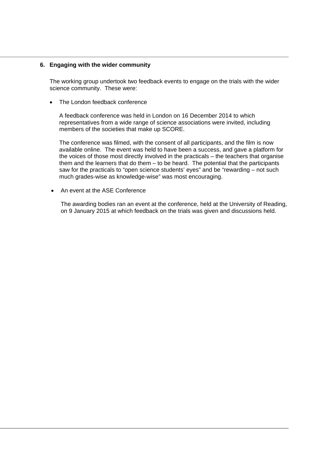#### **6. Engaging with the wider community**

The working group undertook two feedback events to engage on the trials with the wider science community. These were:

The London feedback conference

A feedback conference was held in London on 16 December 2014 to which representatives from a wide range of science associations were invited, including members of the societies that make up SCORE.

The conference was filmed, with the consent of all participants, and the film is now available online. The event was held to have been a success, and gave a platform for the voices of those most directly involved in the practicals – the teachers that organise them and the learners that do them – to be heard. The potential that the participants saw for the practicals to "open science students' eyes" and be "rewarding – not such much grades-wise as knowledge-wise" was most encouraging.

An event at the ASE Conference

The awarding bodies ran an event at the conference, held at the University of Reading, on 9 January 2015 at which feedback on the trials was given and discussions held.